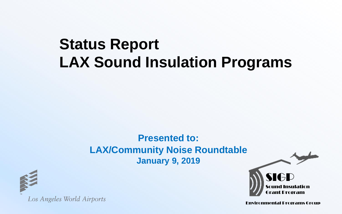# **Status Report LAX Sound Insulation Programs**

#### **Presented to: LAX/Community Noise Roundtable January 9, 2019**



Los Angeles World Airports

Environmental Programs Group

ant Drogram

nsulation

SIGP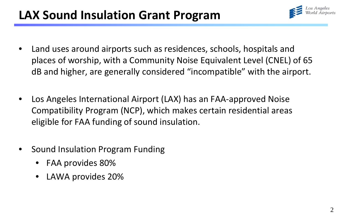## **LAX Sound Insulation Grant Program**



- Land uses around airports such as residences, schools, hospitals and places of worship, with a Community Noise Equivalent Level (CNEL) of 65 dB and higher, are generally considered "incompatible" with the airport.
- Los Angeles International Airport (LAX) has an FAA-approved Noise Compatibility Program (NCP), which makes certain residential areas eligible for FAA funding of sound insulation.
- Sound Insulation Program Funding
	- FAA provides 80%
	- LAWA provides 20%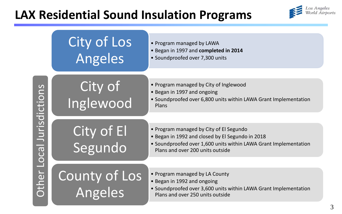## **LAX Residential Sound Insulation Programs**



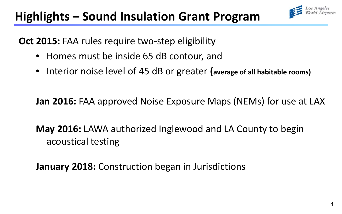# **Highlights – Sound Insulation Grant Program**



**Oct 2015:** FAA rules require two-step eligibility

- Homes must be inside 65 dB contour, and
- Interior noise level of 45 dB or greater **(average of all habitable rooms)**

**Jan 2016:** FAA approved Noise Exposure Maps (NEMs) for use at LAX

**May 2016:** LAWA authorized Inglewood and LA County to begin acoustical testing

**January 2018:** Construction began in Jurisdictions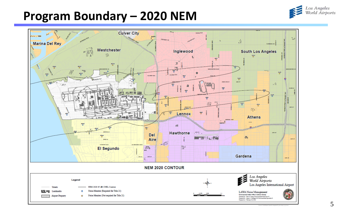### **Program Boundary – 2020 NEM**



Los Angeles<br>World Airports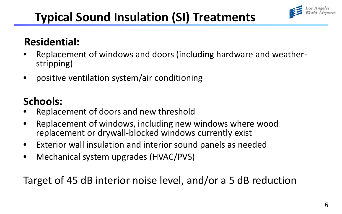

## **Typical Sound Insulation (SI) Treatments**

#### **Residential:**

- Replacement of windows and doors (including hardware and weather-<br>stripping)
- positive ventilation system/air conditioning

### **Schools:**

- Replacement of doors and new threshold
- Replacement of windows, including new windows where wood replacement or drywall-blocked windows currently exist
- Exterior wall insulation and interior sound panels as needed
- Mechanical system upgrades (HVAC/PVS)

Target of 45 dB interior noise level, and/or a 5 dB reduction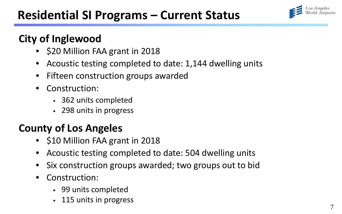

#### **City of Inglewood**

- \$20 Million FAA grant in 2018
- Acoustic testing completed to date: 1,144 dwelling units
- Fifteen construction groups awarded
- Construction:
	- 362 units completed
	- 298 units in progress

#### **County of Los Angeles**

- \$10 Million FAA grant in 2018
- Acoustic testing completed to date: 504 dwelling units
- Six construction groups awarded; two groups out to bid
- Construction:
	- 99 units completed
	- 115 units in progress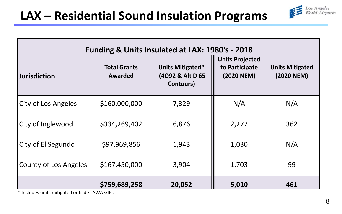

| Funding & Units Insulated at LAX: 1980's - 2018 |                                |                                                   |                                                        |                                      |
|-------------------------------------------------|--------------------------------|---------------------------------------------------|--------------------------------------------------------|--------------------------------------|
| <b>Jurisdiction</b>                             | <b>Total Grants</b><br>Awarded | Units Mitigated*<br>(4Q92 & Alt D 65<br>Contours) | <b>Units Projected</b><br>to Participate<br>(2020 NEM) | <b>Units Mitigated</b><br>(2020 NEM) |
| City of Los Angeles                             | \$160,000,000                  | 7,329                                             | N/A                                                    | N/A                                  |
| City of Inglewood                               | \$334,269,402                  | 6,876                                             | 2,277                                                  | 362                                  |
| City of El Segundo                              | \$97,969,856                   | 1,943                                             | 1,030                                                  | N/A                                  |
| County of Los Angeles                           | \$167,450,000                  | 3,904                                             | 1,703                                                  | 99                                   |
|                                                 | \$759,689,258                  | 20,052                                            | 5,010                                                  | 461                                  |

\* Includes units mitigated outside LAWA GIPs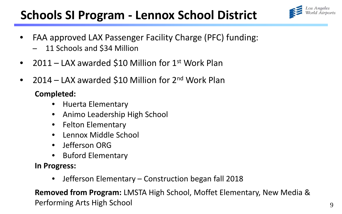## **Schools SI Program - Lennox School District**



- FAA approved LAX Passenger Facility Charge (PFC) funding:
	- 11 Schools and \$34 Million
- 2011 LAX awarded \$10 Million for 1<sup>st</sup> Work Plan
- 2014 LAX awarded \$10 Million for 2<sup>nd</sup> Work Plan

#### **Completed:**

- Huerta Elementary
- Animo Leadership High School
- Felton Elementary
- Lennox Middle School
- Jefferson ORG
- Buford Elementary

**In Progress:** 

• Jefferson Elementary – Construction began fall 2018

**Removed from Program:** LMSTA High School, Moffet Elementary, New Media & Performing Arts High School <sup>9</sup>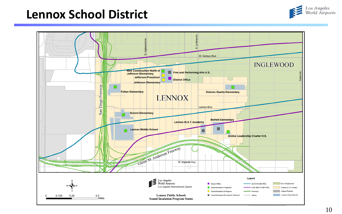#### **Lennox School District**



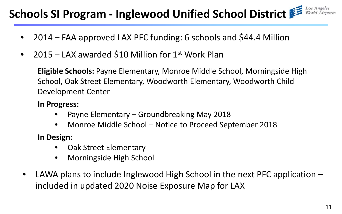#### Los Angeles **Schools SI Program - Inglewood Unified School District**

- 2014 FAA approved LAX PFC funding: 6 schools and \$44.4 Million
- 2015 LAX awarded \$10 Million for 1<sup>st</sup> Work Plan

**Eligible Schools:** Payne Elementary, Monroe Middle School, Morningside High School, Oak Street Elementary, Woodworth Elementary, Woodworth Child Development Center

#### **In Progress:**

- Payne Elementary Groundbreaking May 2018
- Monroe Middle School Notice to Proceed September 2018

**In Design:**

- Oak Street Elementary
- Morningside High School
- LAWA plans to include Inglewood High School in the next PFC application  $$ included in updated 2020 Noise Exposure Map for LAX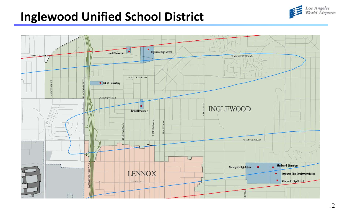## **Inglewood Unified School District**